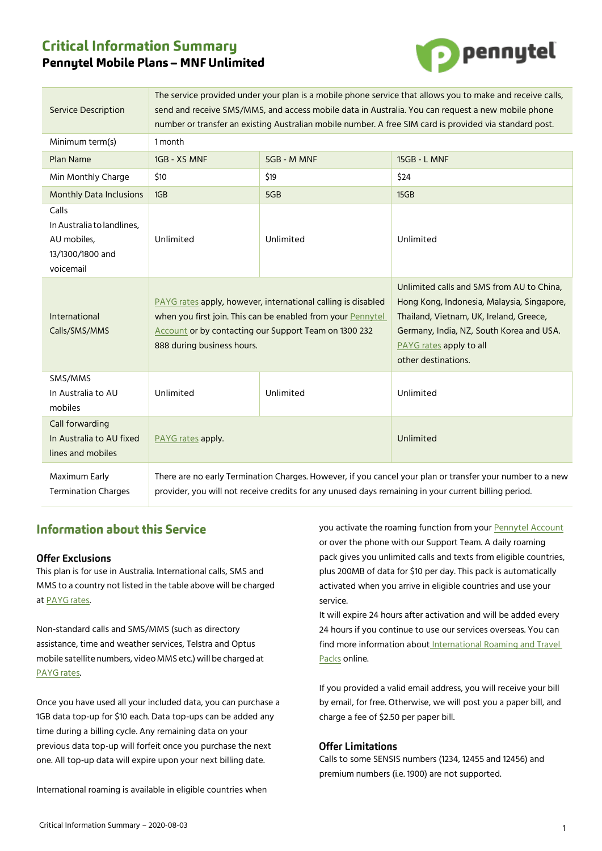# **Critical Information Summary Pennytel Mobile Plans - MNF Unlimited**



| <b>Service Description</b>                                                          | The service provided under your plan is a mobile phone service that allows you to make and receive calls,<br>send and receive SMS/MMS, and access mobile data in Australia. You can request a new mobile phone<br>number or transfer an existing Australian mobile number. A free SIM card is provided via standard post. |             |                                                                                                                                                                                                                                  |
|-------------------------------------------------------------------------------------|---------------------------------------------------------------------------------------------------------------------------------------------------------------------------------------------------------------------------------------------------------------------------------------------------------------------------|-------------|----------------------------------------------------------------------------------------------------------------------------------------------------------------------------------------------------------------------------------|
| Minimum term(s)                                                                     | 1 month                                                                                                                                                                                                                                                                                                                   |             |                                                                                                                                                                                                                                  |
| Plan Name                                                                           | 1GB - XS MNF                                                                                                                                                                                                                                                                                                              | 5GB - M MNF | <b>15GB - L MNF</b>                                                                                                                                                                                                              |
| Min Monthly Charge                                                                  | \$10                                                                                                                                                                                                                                                                                                                      | \$19        | \$24                                                                                                                                                                                                                             |
| <b>Monthly Data Inclusions</b>                                                      | 1GB                                                                                                                                                                                                                                                                                                                       | 5GB         | 15GB                                                                                                                                                                                                                             |
| Calls<br>In Australia to landlines,<br>AU mobiles,<br>13/1300/1800 and<br>voicemail | Unlimited                                                                                                                                                                                                                                                                                                                 | Unlimited   | Unlimited                                                                                                                                                                                                                        |
| International<br>Calls/SMS/MMS                                                      | PAYG rates apply, however, international calling is disabled<br>when you first join. This can be enabled from your Pennytel<br>Account or by contacting our Support Team on 1300 232<br>888 during business hours.                                                                                                        |             | Unlimited calls and SMS from AU to China.<br>Hong Kong, Indonesia, Malaysia, Singapore,<br>Thailand, Vietnam, UK, Ireland, Greece,<br>Germany, India, NZ, South Korea and USA.<br>PAYG rates apply to all<br>other destinations. |
| SMS/MMS<br>In Australia to AU<br>mobiles                                            | Unlimited                                                                                                                                                                                                                                                                                                                 | Unlimited   | Unlimited                                                                                                                                                                                                                        |
| Call forwarding<br>In Australia to AU fixed<br>lines and mobiles                    | PAYG rates apply.                                                                                                                                                                                                                                                                                                         |             | Unlimited                                                                                                                                                                                                                        |
| Maximum Early<br><b>Termination Charges</b>                                         | There are no early Termination Charges. However, if you cancel your plan or transfer your number to a new<br>provider, you will not receive credits for any unused days remaining in your current billing period.                                                                                                         |             |                                                                                                                                                                                                                                  |

# **Information about this Service**

# **Offer Exclusions**

This plan is for use in Australia. International calls, SMS and MMS to a country not listed in the table above will be charged at **PAYG** rates.

Non-standard calls and SMS/MMS (such as directory assistance, time and weather services, Telstra and Optus mobile satellite numbers, video MMS etc.) will be charged at [PAYG](https://mnf.box.com/v/pt-payg-rates) rates.

Once you have used all your included data, you can purchase a 1GB data top-up for \$10 each. Data top-ups can be added any time during a billing cycle. Any remaining data on your previous data top-up will forfeit once you purchase the next one. All top-up data will expire upon your next billing date.

International roaming is available in eligible countries when

you activate the roaming function from your [Pennytel Account](https://account.pennytel.com.au/my-services) or over the phone with our Support Team. A daily roaming pack gives you unlimited calls and texts from eligible countries, plus 200MB of data for \$10 per day. This pack is automatically activated when you arrive in eligible countries and use your service.

It will expire 24 hours after activation and will be added every 24 hours if you continue to use our services overseas. You can find more information about International Roaming and Travel [Packs](https://mnf.app.box.com/v/pt-roaming-pack) online.

If you provided a valid email address, you will receive your bill by email, for free. Otherwise, we will post you a paper bill, and charge a fee of \$2.50 per paper bill.

# **Offer Limitations**

Calls to some SENSIS numbers (1234, 12455 and 12456) and premium numbers (i.e. 1900) are not supported.